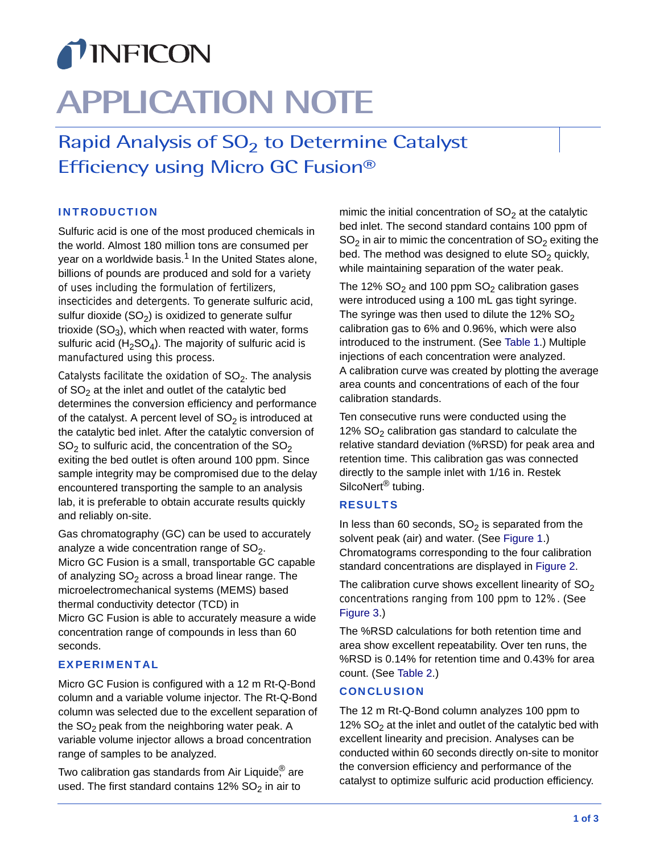# TINFICON

# **APPLICATION NOTE**

Rapid Analysis of  $SO<sub>2</sub>$  to Determine Catalyst Efficiency using Micro GC Fusion®

### INTRODUCTION

Sulfuric acid is one of the most produced chemicals in the world. Almost 180 million tons are consumed per year on a worldwide basis.<sup>1</sup> In the United States alone, billions of pounds are produced and sold for a variety of uses including the formulation of fertilizers, insecticides and detergents. To generate sulfuric acid, sulfur dioxide  $(SO<sub>2</sub>)$  is oxidized to generate sulfur trioxide  $(SO_3)$ , which when reacted with water, forms sulfuric acid (H<sub>2</sub>SO<sub>4</sub>). The majority of sulfuric acid is manufactured using this process.

Catalysts facilitate the oxidation of  $SO<sub>2</sub>$ . The analysis of  $SO<sub>2</sub>$  at the inlet and outlet of the catalytic bed determines the conversion efficiency and performance of the catalyst. A percent level of  $SO<sub>2</sub>$  is introduced at the catalytic bed inlet. After the catalytic conversion of  $SO<sub>2</sub>$  to sulfuric acid, the concentration of the  $SO<sub>2</sub>$ exiting the bed outlet is often around 100 ppm. Since sample integrity may be compromised due to the delay encountered transporting the sample to an analysis lab, it is preferable to obtain accurate results quickly and reliably on-site.

Gas chromatography (GC) can be used to accurately analyze a wide concentration range of  $SO<sub>2</sub>$ . Micro GC Fusion is a small, transportable GC capable of analyzing  $SO<sub>2</sub>$  across a broad linear range. The microelectromechanical systems (MEMS) based thermal conductivity detector (TCD) in Micro GC Fusion is able to accurately measure a wide concentration range of compounds in less than 60 seconds.

#### EXPERIMENTAL

Micro GC Fusion is configured with a 12 m Rt-Q-Bond column and a variable volume injector. The Rt-Q-Bond column was selected due to the excellent separation of the  $SO<sub>2</sub>$  peak from the neighboring water peak. A variable volume injector allows a broad concentration range of samples to be analyzed.

Two calibration gas standards from Air Liquide $<sup>®</sup>$  are</sup> used. The first standard contains 12%  $SO<sub>2</sub>$  in air to

mimic the initial concentration of  $SO<sub>2</sub>$  at the catalytic bed inlet. The second standard contains 100 ppm of  $SO<sub>2</sub>$  in air to mimic the concentration of  $SO<sub>2</sub>$  exiting the bed. The method was designed to elute  $SO<sub>2</sub>$  quickly, while maintaining separation of the water peak.

The 12%  $SO_2$  and 100 ppm  $SO_2$  calibration gases were introduced using a 100 mL gas tight syringe. The syringe was then used to dilute the 12%  $SO<sub>2</sub>$ calibration gas to 6% and 0.96%, which were also introduced to the instrument. (See Table 1.) Multiple injections of each concentration were analyzed. A calibration curve was created by plotting the average area counts and concentrations of each of the four calibration standards.

Ten consecutive runs were conducted using the 12%  $SO<sub>2</sub>$  calibration gas standard to calculate the relative standard deviation (%RSD) for peak area and retention time. This calibration gas was connected directly to the sample inlet with 1/16 in. Restek SilcoNert<sup>®</sup> tubing.

#### RESULTS

In less than 60 seconds,  $SO<sub>2</sub>$  is separated from the solvent peak (air) and water. (See Figure 1.) Chromatograms corresponding to the four calibration standard concentrations are displayed in Figure 2.

The calibration curve shows excellent linearity of  $SO<sub>2</sub>$ concentrations ranging from 100 ppm to 12%. (See Figure 3.)

The %RSD calculations for both retention time and area show excellent repeatability. Over ten runs, the %RSD is 0.14% for retention time and 0.43% for area count. (See Table 2.)

#### **CONCLUSION**

The 12 m Rt-Q-Bond column analyzes 100 ppm to 12%  $SO<sub>2</sub>$  at the inlet and outlet of the catalytic bed with excellent linearity and precision. Analyses can be conducted within 60 seconds directly on-site to monitor the conversion efficiency and performance of the catalyst to optimize sulfuric acid production efficiency.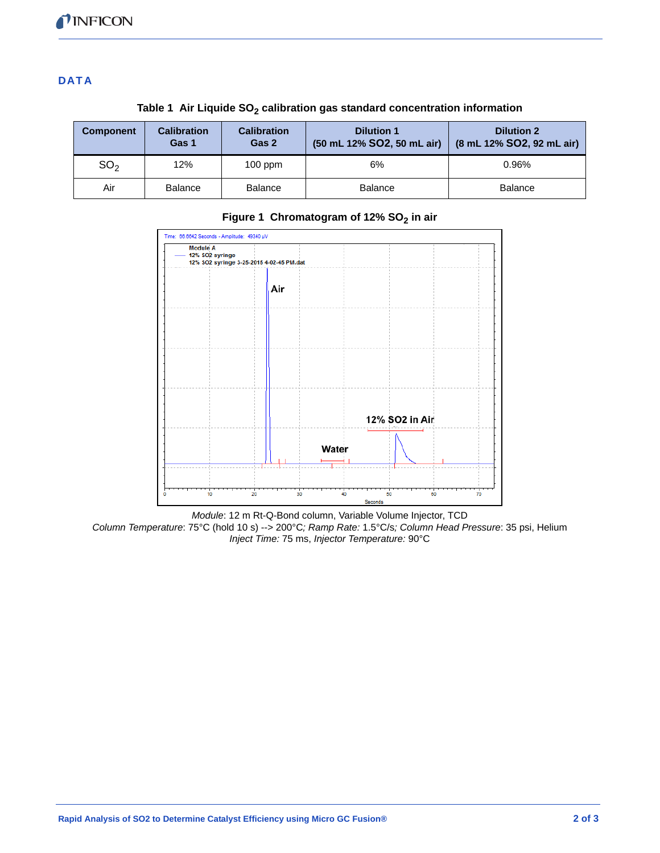### **DATA**

| <b>Component</b> | <b>Calibration</b><br>Gas 1 | <b>Calibration</b><br>Gas 2 | <b>Dilution 1</b><br>(50 mL 12% SO2, 50 mL air) | <b>Dilution 2</b><br>(8 mL 12% SO2, 92 mL air) |
|------------------|-----------------------------|-----------------------------|-------------------------------------------------|------------------------------------------------|
| SO <sub>2</sub>  | 12%                         | $100$ ppm                   | 6%                                              | 0.96%                                          |
| Air              | <b>Balance</b>              | <b>Balance</b>              | <b>Balance</b>                                  | <b>Balance</b>                                 |

Table 1 Air Liquide SO<sub>2</sub> calibration gas standard concentration information



## Figure 1 Chromatogram of 12% SO<sub>2</sub> in air

*Module*: 12 m Rt-Q-Bond column, Variable Volume Injector, TCD *Column Temperature*: 75°C (hold 10 s) --> 200°C*; Ramp Rate:* 1.5°C/s*; Column Head Pressure*: 35 psi, Helium *Inject Time:* 75 ms, *Injector Temperature:* 90°C